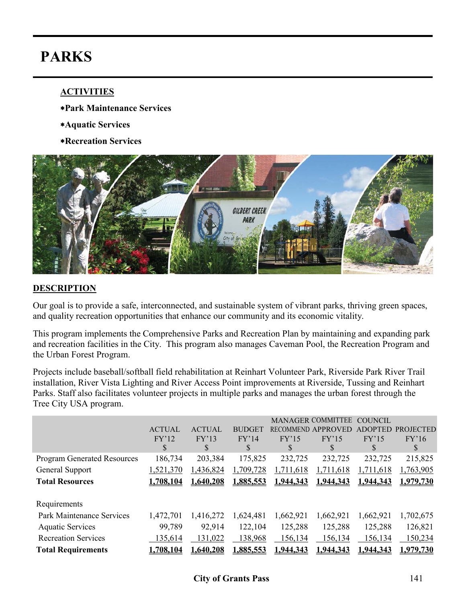# **PARKS**

# **ACTIVITIES**

- ∗**Park Maintenance Services**
- ∗**Aquatic Services**
- ∗**Recreation Services**



## **DESCRIPTION**

Our goal is to provide a safe, interconnected, and sustainable system of vibrant parks, thriving green spaces, and quality recreation opportunities that enhance our community and its economic vitality.

This program implements the Comprehensive Parks and Recreation Plan by maintaining and expanding park and recreation facilities in the City. This program also manages Caveman Pool, the Recreation Program and the Urban Forest Program.

Projects include baseball/softball field rehabilitation at Reinhart Volunteer Park, Riverside Park River Trail installation, River Vista Lighting and River Access Point improvements at Riverside, Tussing and Reinhart Parks. Staff also facilitates volunteer projects in multiple parks and manages the urban forest through the Tree City USA program.

|                                    | <b>ACTUAL</b><br>FY'12 | <b>ACTUAL</b><br>FY'13 | <b>BUDGET</b><br>FY'14 | FY'15     | <b>MANAGER COMMITTEE</b><br>RECOMMEND APPROVED<br>FY'15 | <b>COUNCIL</b><br><b>ADOPTED</b><br>FY'15 | <b>PROJECTED</b><br>FY'16 |
|------------------------------------|------------------------|------------------------|------------------------|-----------|---------------------------------------------------------|-------------------------------------------|---------------------------|
|                                    | \$                     | S                      | S                      | <b>S</b>  | \$                                                      | S                                         | S                         |
| <b>Program Generated Resources</b> | 186,734                | 203,384                | 175,825                | 232,725   | 232,725                                                 | 232,725                                   | 215,825                   |
| General Support                    | 1,521,370              | 1,436,824              | 1,709,728              | 1,711,618 | 1,711,618                                               | 1,711,618                                 | 1,763,905                 |
| <b>Total Resources</b>             | 1.708.104              | 1.640.208              | 1.885.553              | 1.944.343 | 1.944.343                                               | 1.944.343                                 | 1,979,730                 |
|                                    |                        |                        |                        |           |                                                         |                                           |                           |
| Requirements                       |                        |                        |                        |           |                                                         |                                           |                           |
| Park Maintenance Services          | 1,472,701              | 1,416,272              | 1,624,481              | 1,662,921 | 1,662,921                                               | 1,662,921                                 | 1,702,675                 |
| <b>Aquatic Services</b>            | 99,789                 | 92,914                 | 122,104                | 125,288   | 125,288                                                 | 125,288                                   | 126,821                   |
| <b>Recreation Services</b>         | 135,614                | 131,022                | 138,968                | 156,134   | 156,134                                                 | 156,134                                   | 150,234                   |
| <b>Total Requirements</b>          | 1.708.104              | 1.640.208              | <u>1.885.553</u>       | 1.944.343 | 1.944.343                                               | 1.944.343                                 | 1.979.730                 |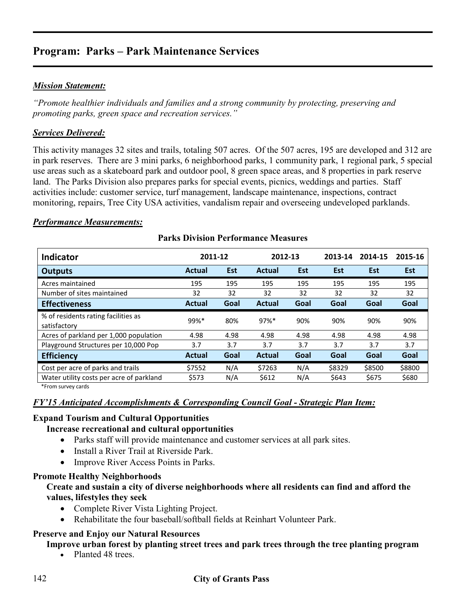# *Mission Statement:*

*"Promote healthier individuals and families and a strong community by protecting, preserving and promoting parks, green space and recreation services."* 

# *Services Delivered:*

This activity manages 32 sites and trails, totaling 507 acres. Of the 507 acres, 195 are developed and 312 are in park reserves. There are 3 mini parks, 6 neighborhood parks, 1 community park, 1 regional park, 5 special use areas such as a skateboard park and outdoor pool, 8 green space areas, and 8 properties in park reserve land. The Parks Division also prepares parks for special events, picnics, weddings and parties. Staff activities include: customer service, turf management, landscape maintenance, inspections, contract monitoring, repairs, Tree City USA activities, vandalism repair and overseeing undeveloped parklands.

### *Performance Measurements:*

| <b>Indicator</b>                                    | 2011-12       |            | 2012-13       |      | 2013-14 | 2014-15    | 2015-16    |
|-----------------------------------------------------|---------------|------------|---------------|------|---------|------------|------------|
| <b>Outputs</b>                                      | <b>Actual</b> | <b>Est</b> | <b>Actual</b> | Est  | Est     | <b>Est</b> | <b>Est</b> |
| Acres maintained                                    | 195           | 195        | 195           | 195  | 195     | 195        | 195        |
| Number of sites maintained                          | 32            | 32         | 32            | 32   | 32      | 32         | 32         |
| <b>Effectiveness</b>                                | <b>Actual</b> | Goal       | <b>Actual</b> | Goal | Goal    | Goal       | Goal       |
| % of residents rating facilities as<br>satisfactory | 99%*          | 80%        | $97%$ *       | 90%  | 90%     | 90%        | 90%        |
| Acres of parkland per 1,000 population              | 4.98          | 4.98       | 4.98          | 4.98 | 4.98    | 4.98       | 4.98       |
| Playground Structures per 10,000 Pop                | 3.7           | 3.7        | 3.7           | 3.7  | 3.7     | 3.7        | 3.7        |
| <b>Efficiency</b>                                   | <b>Actual</b> | Goal       | <b>Actual</b> | Goal | Goal    | Goal       | Goal       |
| Cost per acre of parks and trails                   | \$7552        | N/A        | \$7263        | N/A  | \$8329  | \$8500     | \$8800     |
| Water utility costs per acre of parkland            | \$573         | N/A        | \$612         | N/A  | \$643   | \$675      | \$680      |

## **Parks Division Performance Measures**

\*From survey cards

## *FY'15 Anticipated Accomplishments & Corresponding Council Goal - Strategic Plan Item:*

## **Expand Tourism and Cultural Opportunities**

## **Increase recreational and cultural opportunities**

- Parks staff will provide maintenance and customer services at all park sites.
- Install a River Trail at Riverside Park.
- Improve River Access Points in Parks.

## **Promote Healthy Neighborhoods**

## **Create and sustain a city of diverse neighborhoods where all residents can find and afford the values, lifestyles they seek**

- Complete River Vista Lighting Project.
- Rehabilitate the four baseball/softball fields at Reinhart Volunteer Park.

## **Preserve and Enjoy our Natural Resources**

# **Improve urban forest by planting street trees and park trees through the tree planting program**

• Planted 48 trees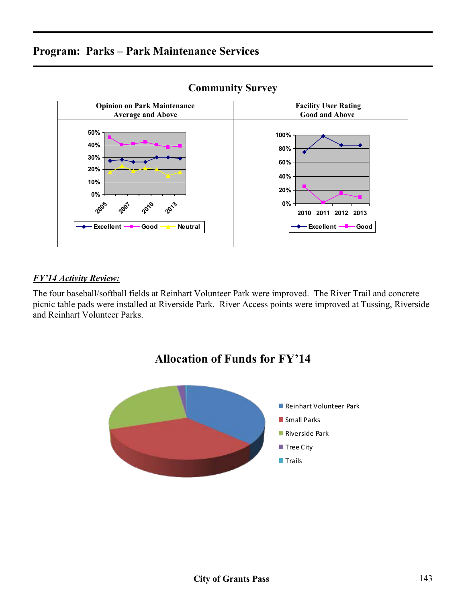

# **Community Survey**

# *FY'14 Activity Review:*

The four baseball/softball fields at Reinhart Volunteer Park were improved. The River Trail and concrete picnic table pads were installed at Riverside Park. River Access points were improved at Tussing, Riverside and Reinhart Volunteer Parks.

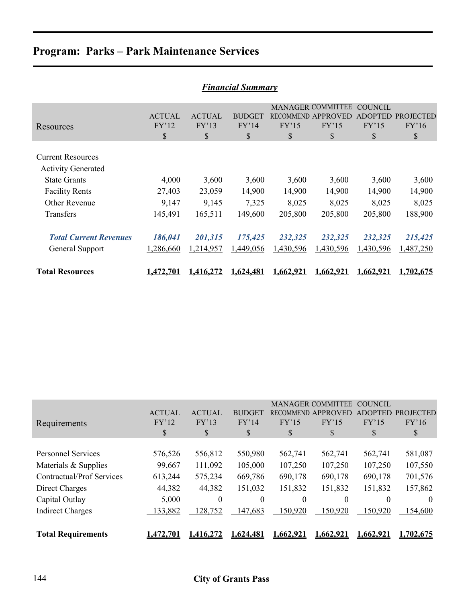| <b>Financial Summary</b>                              |                  |               |               |             |                                                |                                  |                  |  |  |  |
|-------------------------------------------------------|------------------|---------------|---------------|-------------|------------------------------------------------|----------------------------------|------------------|--|--|--|
|                                                       | <b>ACTUAL</b>    | <b>ACTUAL</b> | <b>BUDGET</b> |             | <b>MANAGER COMMITTEE</b><br>RECOMMEND APPROVED | <b>COUNCIL</b><br><b>ADOPTED</b> | <b>PROJECTED</b> |  |  |  |
| Resources                                             | FY'12<br>$\$$    | FY'13<br>\$   | FY'14<br>\$   | FY'15<br>\$ | FY'15<br>\$                                    | FY'15<br>\$                      | FY'16<br>\$      |  |  |  |
| <b>Current Resources</b><br><b>Activity Generated</b> |                  |               |               |             |                                                |                                  |                  |  |  |  |
| <b>State Grants</b>                                   | 4,000            | 3,600         | 3,600         | 3,600       | 3,600                                          | 3,600                            | 3,600            |  |  |  |
| <b>Facility Rents</b>                                 | 27,403           | 23,059        | 14,900        | 14,900      | 14,900                                         | 14,900                           | 14,900           |  |  |  |
| <b>Other Revenue</b>                                  | 9,147            | 9,145         | 7,325         | 8,025       | 8,025                                          | 8,025                            | 8,025            |  |  |  |
| Transfers                                             | 145,491          | 165,511       | 149,600       | 205,800     | 205,800                                        | 205,800                          | 188,900          |  |  |  |
|                                                       |                  |               |               |             |                                                |                                  |                  |  |  |  |
| <b>Total Current Revenues</b>                         | 186,041          | 201,315       | 175,425       | 232,325     | 232,325                                        | 232,325                          | 215,425          |  |  |  |
| General Support                                       | 1,286,660        | 1,214,957     | 1,449,056     | 1,430,596   | 1,430,596                                      | 1,430,596                        | 1,487,250        |  |  |  |
| <b>Total Resources</b>                                | <u>1,472,701</u> | 1,416,272     | 1,624,481     | 1,662,921   | 1,662,921                                      | 1,662,921                        | 1,702,675        |  |  |  |

|          |          |           | MANAGER COMMITTEE COUNCIL                 |  |
|----------|----------|-----------|-------------------------------------------|--|
| A CTILAI | A CTILAT | DI IDCET. | <b><i>DECOMMENID ADDDOVED ADODTED</i></b> |  |

|                                  |               |               |               |           | MANAGER COMMITTEE  | -COUNCIL       |                  |
|----------------------------------|---------------|---------------|---------------|-----------|--------------------|----------------|------------------|
|                                  | <b>ACTUAL</b> | <b>ACTUAL</b> | <b>BUDGET</b> |           | RECOMMEND APPROVED | <b>ADOPTED</b> | <b>PROJECTED</b> |
| Requirements                     | FY'12         | FY'13         | FY'14         | FY'15     | FY'15              | FY'15          | FY'16            |
|                                  | S             | \$            | S             | \$        | S                  | S              | <sup>S</sup>     |
|                                  |               |               |               |           |                    |                |                  |
| <b>Personnel Services</b>        | 576,526       | 556,812       | 550,980       | 562,741   | 562,741            | 562,741        | 581,087          |
| Materials & Supplies             | 99,667        | 111,092       | 105,000       | 107,250   | 107,250            | 107,250        | 107,550          |
| <b>Contractual/Prof Services</b> | 613,244       | 575,234       | 669,786       | 690,178   | 690,178            | 690,178        | 701,576          |
| Direct Charges                   | 44,382        | 44,382        | 151,032       | 151,832   | 151,832            | 151,832        | 157,862          |
| Capital Outlay                   | 5,000         | $\theta$      | $\theta$      | $\theta$  | $\theta$           | $\theta$       | $\theta$         |
| <b>Indirect Charges</b>          | 133,882       | 128,752       | 147,683       | 150,920   | 150,920            | 150,920        | 154,600          |
|                                  |               |               |               |           |                    |                |                  |
| <b>Total Requirements</b>        | 1,472,701     | 1.416.272     | 1.624.481     | 1,662,921 | 1,662,921          | 1.662.921      | 1.702,675        |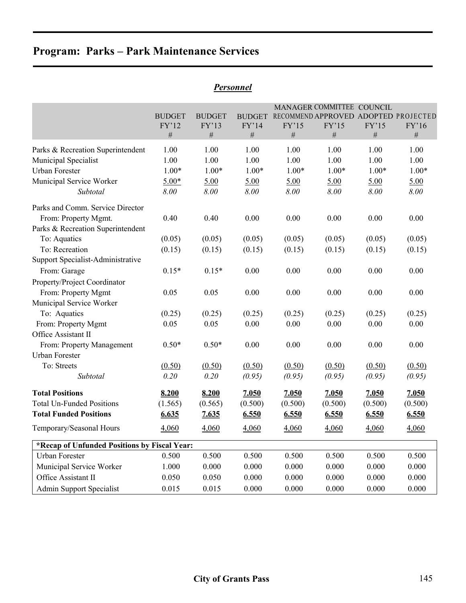|                                              |               |               |               |         | MANAGER COMMITTEE COUNCIL            |         |         |
|----------------------------------------------|---------------|---------------|---------------|---------|--------------------------------------|---------|---------|
|                                              | <b>BUDGET</b> | <b>BUDGET</b> | <b>BUDGET</b> |         | RECOMMEND APPROVED ADOPTED PROJECTED |         |         |
|                                              | FY'12         | FY'13         | FY'14         | FY'15   | FY'15                                | FY'15   | FY'16   |
|                                              | $\#$          | $\#$          | $\#$          | $\#$    | $\#$                                 | $\#$    | $\#$    |
| Parks & Recreation Superintendent            | 1.00          | 1.00          | 1.00          | 1.00    | 1.00                                 | 1.00    | 1.00    |
| Municipal Specialist                         | 1.00          | 1.00          | 1.00          | 1.00    | 1.00                                 | 1.00    | 1.00    |
| <b>Urban Forester</b>                        | $1.00*$       | $1.00*$       | $1.00*$       | $1.00*$ | $1.00*$                              | $1.00*$ | $1.00*$ |
| Municipal Service Worker                     | $5.00*$       | 5.00          | 5.00          | 5.00    | 5.00                                 | 5.00    | 5.00    |
| Subtotal                                     | 8.00          | 8.00          | 8.00          | 8.00    | 8.00                                 | 8.00    | 8.00    |
| Parks and Comm. Service Director             |               |               |               |         |                                      |         |         |
| From: Property Mgmt.                         | 0.40          | 0.40          | 0.00          | 0.00    | 0.00                                 | 0.00    | 0.00    |
| Parks & Recreation Superintendent            |               |               |               |         |                                      |         |         |
| To: Aquatics                                 | (0.05)        | (0.05)        | (0.05)        | (0.05)  | (0.05)                               | (0.05)  | (0.05)  |
| To: Recreation                               | (0.15)        | (0.15)        | (0.15)        | (0.15)  | (0.15)                               | (0.15)  | (0.15)  |
| Support Specialist-Administrative            |               |               |               |         |                                      |         |         |
| From: Garage                                 | $0.15*$       | $0.15*$       | 0.00          | 0.00    | 0.00                                 | 0.00    | 0.00    |
| Property/Project Coordinator                 |               |               |               |         |                                      |         |         |
| From: Property Mgmt                          | 0.05          | 0.05          | 0.00          | 0.00    | 0.00                                 | 0.00    | 0.00    |
| Municipal Service Worker                     |               |               |               |         |                                      |         |         |
| To: Aquatics                                 | (0.25)        | (0.25)        | (0.25)        | (0.25)  | (0.25)                               | (0.25)  | (0.25)  |
| From: Property Mgmt                          | 0.05          | 0.05          | 0.00          | 0.00    | 0.00                                 | 0.00    | 0.00    |
| Office Assistant II                          |               |               |               |         |                                      |         |         |
| From: Property Management                    | $0.50*$       | $0.50*$       | 0.00          | 0.00    | 0.00                                 | 0.00    | 0.00    |
| Urban Forester                               |               |               |               |         |                                      |         |         |
| To: Streets                                  | (0.50)        | (0.50)        | (0.50)        | (0.50)  | (0.50)                               | (0.50)  | (0.50)  |
| Subtotal                                     | 0.20          | 0.20          | (0.95)        | (0.95)  | (0.95)                               | (0.95)  | (0.95)  |
| <b>Total Positions</b>                       | 8.200         | 8.200         | 7.050         | 7.050   | 7.050                                | 7.050   | 7.050   |
| <b>Total Un-Funded Positions</b>             | (1.565)       | (0.565)       | (0.500)       | (0.500) | (0.500)                              | (0.500) | (0.500) |
| <b>Total Funded Positions</b>                | 6.635         | 7.635         | 6.550         | 6.550   | 6.550                                | 6.550   | 6.550   |
| Temporary/Seasonal Hours                     | 4,060         | 4,060         | 4,060         | 4,060   | 4,060                                | 4,060   | 4,060   |
| *Recap of Unfunded Positions by Fiscal Year: |               |               |               |         |                                      |         |         |
| Urban Forester                               | 0.500         | 0.500         | 0.500         | 0.500   | 0.500                                | 0.500   | 0.500   |
| Municipal Service Worker                     | 1.000         | 0.000         | 0.000         | 0.000   | 0.000                                | 0.000   | 0.000   |
| Office Assistant II                          | 0.050         | 0.050         | 0.000         | 0.000   | 0.000                                | 0.000   | 0.000   |
| <b>Admin Support Specialist</b>              | 0.015         | 0.015         | 0.000         | 0.000   | 0.000                                | 0.000   | 0.000   |

# *Personnel*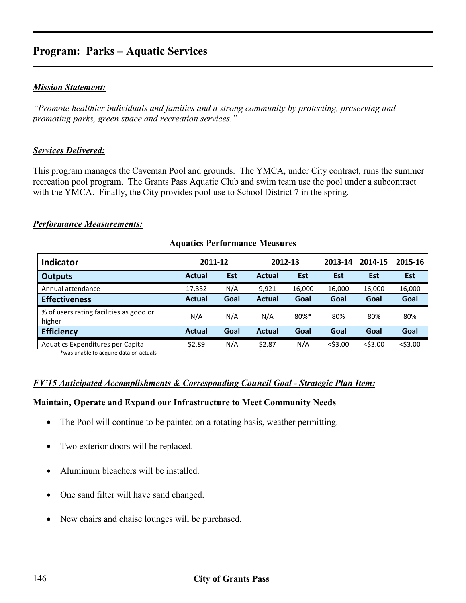### *Mission Statement:*

*"Promote healthier individuals and families and a strong community by protecting, preserving and promoting parks, green space and recreation services."*

#### *Services Delivered:*

This program manages the Caveman Pool and grounds. The YMCA, under City contract, runs the summer recreation pool program. The Grants Pass Aquatic Club and swim team use the pool under a subcontract with the YMCA. Finally, the City provides pool use to School District 7 in the spring.

#### *Performance Measurements:*

| Indicator                                         | 2011-12       |            | 2012-13       |                     | 2013-14    | 2014-15    | 2015-16    |
|---------------------------------------------------|---------------|------------|---------------|---------------------|------------|------------|------------|
| <b>Outputs</b>                                    | <b>Actual</b> | <b>Est</b> | <b>Actual</b> | Est                 | <b>Est</b> | <b>Est</b> | <b>Est</b> |
| Annual attendance                                 | 17,332        | N/A        | 9,921         | 16,000              | 16,000     | 16,000     | 16,000     |
| <b>Effectiveness</b>                              | <b>Actual</b> | Goal       | <b>Actual</b> | Goal                | Goal       | Goal       | Goal       |
| % of users rating facilities as good or<br>higher | N/A           | N/A        | N/A           | $80\%$ <sup>*</sup> | 80%        | 80%        | 80%        |
| <b>Efficiency</b>                                 | <b>Actual</b> | Goal       | <b>Actual</b> | Goal                | Goal       | Goal       | Goal       |
| Aquatics Expenditures per Capita                  | \$2.89        | N/A        | \$2.87        | N/A                 | $<$ \$3.00 | $<$ \$3.00 | $<$ \$3.00 |

#### **Aquatics Performance Measures**

\*was unable to acquire data on actuals

#### *FY'15 Anticipated Accomplishments & Corresponding Council Goal - Strategic Plan Item:*

#### **Maintain, Operate and Expand our Infrastructure to Meet Community Needs**

- The Pool will continue to be painted on a rotating basis, weather permitting.
- Two exterior doors will be replaced.
- Aluminum bleachers will be installed
- One sand filter will have sand changed.
- New chairs and chaise lounges will be purchased.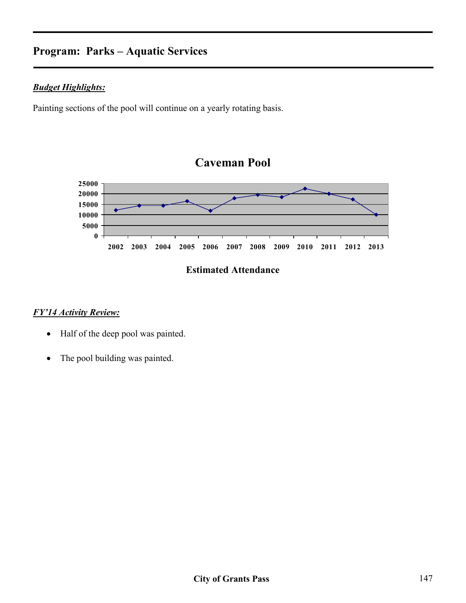# *Budget Highlights:*

Painting sections of the pool will continue on a yearly rotating basis.



# **Estimated Attendance**

# *FY'14 Activity Review:*

- Half of the deep pool was painted.
- The pool building was painted.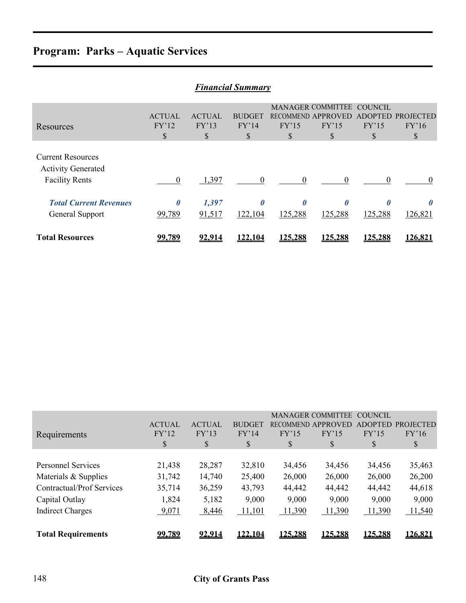| <b>Financial Summary</b>                                                       |                                 |                              |                                  |                                  |                                                                     |                                          |                                 |  |  |  |
|--------------------------------------------------------------------------------|---------------------------------|------------------------------|----------------------------------|----------------------------------|---------------------------------------------------------------------|------------------------------------------|---------------------------------|--|--|--|
| Resources                                                                      | <b>ACTUAL</b><br>FY'12<br>\$    | <b>ACTUAL</b><br>FY'13<br>\$ | <b>BUDGET</b><br>FY'14<br>\$     | FY'15<br>S                       | <b>MANAGER COMMITTEE</b><br><b>RECOMMEND APPROVED</b><br>FY'15<br>S | COUNCIL<br><b>ADOPTED</b><br>FY'15<br>\$ | <b>PROJECTED</b><br>FY'16<br>\$ |  |  |  |
| <b>Current Resources</b><br><b>Activity Generated</b><br><b>Facility Rents</b> | $\theta$                        | 1,397                        | $\theta$                         | $\theta$                         |                                                                     | $\Omega$                                 | $\Omega$                        |  |  |  |
| <b>Total Current Revenues</b><br>General Support                               | $\boldsymbol{\theta}$<br>99,789 | 1,397<br>91,517              | $\boldsymbol{\theta}$<br>122,104 | $\boldsymbol{\theta}$<br>125,288 | 0<br>125,288                                                        | 125,288                                  | 126,821                         |  |  |  |
| <b>Total Resources</b>                                                         | 99,789                          | 92.914                       | 122.104                          | 125,288                          | <u>125.288</u>                                                      | 125,288                                  | 126.821                         |  |  |  |

| Requirements                                                                                                                | <b>ACTUAL</b><br>FY'12<br>\$                 | <b>ACTUAL</b><br>FY'13<br>\$                 | <b>BUDGET</b><br>FY'14<br>\$                  | <b>RECOMMEND</b><br>FY'15<br>\$               | <b>MANAGER COMMITTEE</b><br>APPROVED<br>FY'15<br>\$ | COUNCIL<br><b>ADOPTED</b><br>FY'15<br>\$      | <b>PROJECTED</b><br>FY'16<br>\$               |
|-----------------------------------------------------------------------------------------------------------------------------|----------------------------------------------|----------------------------------------------|-----------------------------------------------|-----------------------------------------------|-----------------------------------------------------|-----------------------------------------------|-----------------------------------------------|
| <b>Personnel Services</b><br>Materials & Supplies<br>Contractual/Prof Services<br>Capital Outlay<br><b>Indirect Charges</b> | 21,438<br>31,742<br>35,714<br>1,824<br>9,071 | 28,287<br>14,740<br>36,259<br>5,182<br>8,446 | 32,810<br>25,400<br>43,793<br>9,000<br>11,101 | 34,456<br>26,000<br>44,442<br>9,000<br>11,390 | 34,456<br>26,000<br>44,442<br>9,000<br>11,390       | 34,456<br>26,000<br>44,442<br>9,000<br>11,390 | 35,463<br>26,200<br>44,618<br>9,000<br>11,540 |
| <b>Total Requirements</b>                                                                                                   | 99,789                                       | 92,914                                       | 122.104                                       | 125,288                                       | 125,288                                             | 125.288                                       | 126.821                                       |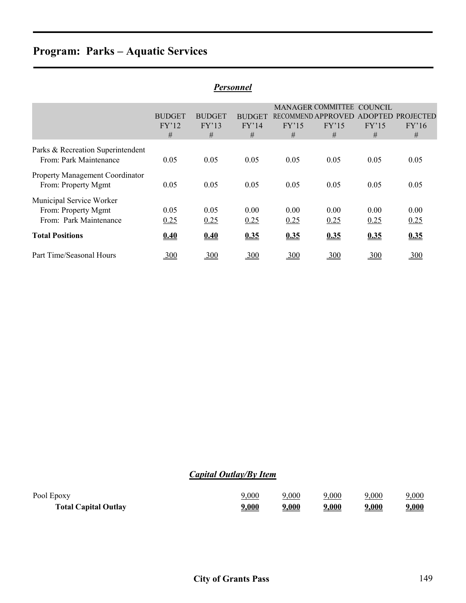|                                                                           |                             |                             | Personnei                   |              |                                                              |                                         |                                |
|---------------------------------------------------------------------------|-----------------------------|-----------------------------|-----------------------------|--------------|--------------------------------------------------------------|-----------------------------------------|--------------------------------|
|                                                                           | <b>BUDGET</b><br>FY'12<br># | <b>BUDGET</b><br>FY'13<br># | <b>BUDGET</b><br>FY'14<br># | FY'15<br>#   | <b>MANAGER COMMITTEE</b><br>RECOMMEND APPROVED<br>FY'15<br># | COUNCIL<br><b>ADOPTED</b><br>FY'15<br># | <b>PROJECTED</b><br>FY'16<br># |
| Parks & Recreation Superintendent<br>From: Park Maintenance               | 0.05                        | 0.05                        | 0.05                        | 0.05         | 0.05                                                         | 0.05                                    | 0.05                           |
| Property Management Coordinator<br>From: Property Mgmt                    | 0.05                        | 0.05                        | 0.05                        | 0.05         | 0.05                                                         | 0.05                                    | 0.05                           |
| Municipal Service Worker<br>From: Property Mgmt<br>From: Park Maintenance | 0.05<br>0.25                | 0.05<br>0.25                | 0.00<br>0.25                | 0.00<br>0.25 | 0.00<br>0.25                                                 | 0.00<br>0.25                            | 0.00<br>0.25                   |
| <b>Total Positions</b>                                                    | 0.40                        | 0.40                        | 0.35                        | 0.35         | 0.35                                                         | 0.35                                    | 0.35                           |
| Part Time/Seasonal Hours                                                  | 300                         | 300                         | 300                         | 300          | 300                                                          | <u>300</u>                              | 300                            |

# *Personnel*

# *Capital Outlay/By Item*

| Pool Epoxy                  | 9,000        | 0.000        | 9,000 | 9,000        | 9,000        |
|-----------------------------|--------------|--------------|-------|--------------|--------------|
| <b>Total Capital Outlay</b> | <u>9,000</u> | <u>1,000</u> | 9,000 | <b>2,000</b> | <u>9,000</u> |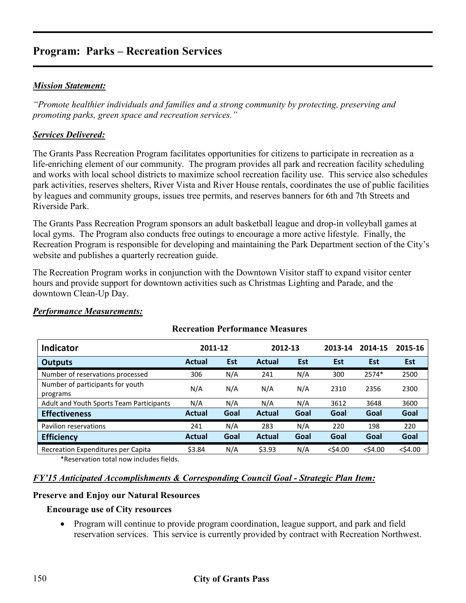# **Program: Parks – Recreation Services**

## *Mission Statement:*

*"Promote healthier individuals and families and a strong community by protecting, preserving and promoting parks, green space and recreation services."* 

## *Services Delivered:*

The Grants Pass Recreation Program facilitates opportunities for citizens to participate in recreation as a life-enriching element of our community. The program provides all park and recreation facility scheduling and works with local school districts to maximize school recreation facility use. This service also schedules park activities, reserves shelters, River Vista and River House rentals, coordinates the use of public facilities by leagues and community groups, issues tree permits, and reserves banners for 6th and 7th Streets and Riverside Park.

The Grants Pass Recreation Program sponsors an adult basketball league and drop-in volleyball games at local gyms. The Program also conducts free outings to encourage a more active lifestyle. Finally, the Recreation Program is responsible for developing and maintaining the Park Department section of the City's website and publishes a quarterly recreation guide.

The Recreation Program works in conjunction with the Downtown Visitor staff to expand visitor center hours and provide support for downtown activities such as Christmas Lighting and Parade, and the downtown Clean-Up Day.

| Indicator                                    | 2011-12       |            | 2012-13       |      | 2013-14    | 2014-15    | 2015-16    |
|----------------------------------------------|---------------|------------|---------------|------|------------|------------|------------|
| Outputs                                      | <b>Actual</b> | <b>Est</b> | <b>Actual</b> | Est  | Est        | <b>Est</b> | <b>Est</b> |
| Number of reservations processed             | 306           | N/A        | 241           | N/A  | 300        | 2574*      | 2500       |
| Number of participants for youth<br>programs | N/A           | N/A        | N/A           | N/A  | 2310       | 2356       | 2300       |
| Adult and Youth Sports Team Participants     | N/A           | N/A        | N/A           | N/A  | 3612       | 3648       | 3600       |
| <b>Effectiveness</b>                         | Actual        | Goal       | <b>Actual</b> | Goal | Goal       | Goal       | Goal       |
| Pavilion reservations                        | 241           | N/A        | 283           | N/A  | 220        | 198        | 220        |
| <b>Efficiency</b>                            | <b>Actual</b> | Goal       | <b>Actual</b> | Goal | Goal       | Goal       | Goal       |
| Recreation Expenditures per Capita           | \$3.84        | N/A        | \$3.93        | N/A  | $<$ \$4.00 | $<$ \$4.00 | $<$ \$4.00 |

## *Performance Measurements:*

# **Recreation Performance Measures**

\*Reservation total now includes fields.

#### *FY'15 Anticipated Accomplishments & Corresponding Council Goal - Strategic Plan Item:*

#### **Preserve and Enjoy our Natural Resources**

#### **Encourage use of City resources**

• Program will continue to provide program coordination, league support, and park and field reservation services. This service is currently provided by contract with Recreation Northwest.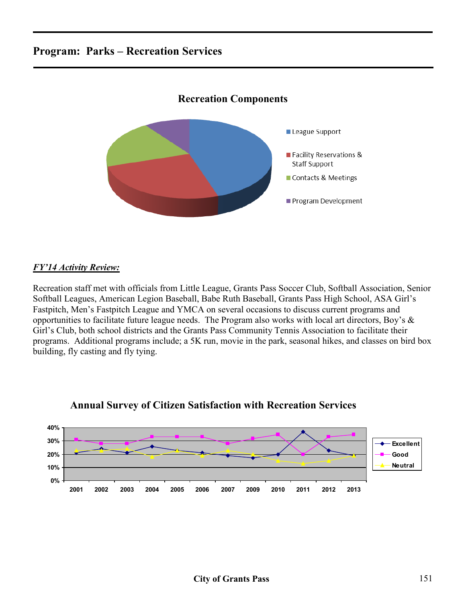# **Program: Parks – Recreation Services**



# **Recreation Components**

### *FY'14 Activity Review:*

Recreation staff met with officials from Little League, Grants Pass Soccer Club, Softball Association, Senior Softball Leagues, American Legion Baseball, Babe Ruth Baseball, Grants Pass High School, ASA Girl's Fastpitch, Men's Fastpitch League and YMCA on several occasions to discuss current programs and opportunities to facilitate future league needs. The Program also works with local art directors, Boy's & Girl's Club, both school districts and the Grants Pass Community Tennis Association to facilitate their programs. Additional programs include; a 5K run, movie in the park, seasonal hikes, and classes on bird box building, fly casting and fly tying.



## **Annual Survey of Citizen Satisfaction with Recreation Services**